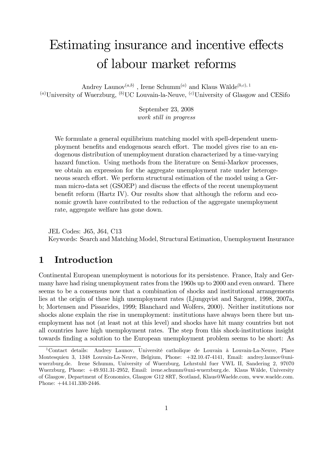# Estimating insurance and incentive effects of labour market reforms

Andrey Launov<sup>(a,b)</sup>, Irene Schumm<sup>(a)</sup> and Klaus Wälde<sup>(b,c), 1</sup>  $^{(a)}$ University of Wuerzburg,  $^{(b)}$ UC Louvain-la-Neuve,  $^{(c)}$ University of Glasgow and CESifo

> September 23, 2008 work still in progress

We formulate a general equilibrium matching model with spell-dependent unemployment benefits and endogenous search effort. The model gives rise to an endogenous distribution of unemployment duration characterized by a time-varying hazard function. Using methods from the literature on Semi-Markov processes, we obtain an expression for the aggregate unemployment rate under heterogeneous search effort. We perform structural estimation of the model using a German micro-data set (GSOEP) and discuss the effects of the recent unemployment benefit reform (Hartz IV). Our results show that although the reform and economic growth have contributed to the reduction of the aggregate unemployment rate, aggregate welfare has gone down.

JEL Codes: J65, J64, C13

Keywords: Search and Matching Model, Structural Estimation, Unemployment Insurance

# 1 Introduction

Continental European unemployment is notorious for its persistence. France, Italy and Germany have had rising unemployment rates from the 1960s up to 2000 and even onward. There seems to be a consensus now that a combination of shocks and institutional arrangements lies at the origin of these high unemployment rates (Ljungqvist and Sargent, 1998, 2007a, b; Mortensen and Pissarides, 1999; Blanchard and Wolfers, 2000). Neither institutions nor shocks alone explain the rise in unemployment: institutions have always been there but unemployment has not (at least not at this level) and shocks have hit many countries but not all countries have high unemployment rates. The step from this shock-institutions insight towards Önding a solution to the European unemployment problem seems to be short: As

<sup>&</sup>lt;sup>1</sup>Contact details: Andrey Launov, Université catholique de Louvain à Louvain-La-Neuve, Place Montesquieu 3, 1348 Louvain-La-Neuve, Belgium, Phone: +32.10.47-4141, Email: andrey.launov@uniwuerzburg.de. Irene Schumm, University of Wuerzburg, Lehrstuhl fuer VWL II, Sandering 2, 97070 Wuerzburg, Phone: +49.931.31-2952, Email: irene.schumm@uni-wuerzburg.de. Klaus Wälde, University of Glasgow, Department of Economics, Glasgow G12 8RT, Scotland, Klaus@Waelde.com, www.waelde.com. Phone: +44.141.330-2446.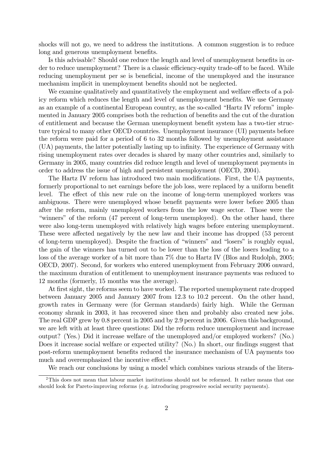shocks will not go, we need to address the institutions. A common suggestion is to reduce long and generous unemployment benefits.

Is this advisable? Should one reduce the length and level of unemployment benefits in order to reduce unemployment? There is a classic efficiency-equity trade-off to be faced. While reducing unemployment per se is beneficial, income of the unemployed and the insurance mechanism implicit in unemployment benefits should not be neglected.

We examine qualitatively and quantitatively the employment and welfare effects of a policy reform which reduces the length and level of unemployment benefits. We use Germany as an example of a continental European country, as the so-called "Hartz IV reform" implemented in January 2005 comprises both the reduction of benefits and the cut of the duration of entitlement and because the German unemployment benefit system has a two-tier structure typical to many other OECD countries. Unemployment insurance (UI) payments before the reform were paid for a period of 6 to 32 months followed by unemployment assistance (UA) payments, the latter potentially lasting up to inÖnity. The experience of Germany with rising unemployment rates over decades is shared by many other countries and, similarly to Germany in 2005, many countries did reduce length and level of unemployment payments in order to address the issue of high and persistent unemployment (OECD, 2004).

The Hartz IV reform has introduced two main modifications. First, the UA payments, formerly proportional to net earnings before the job loss, were replaced by a uniform benefit level. The effect of this new rule on the income of long-term unemployed workers was ambiguous. There were unemployed whose benefit payments were lower before 2005 than after the reform, mainly unemployed workers from the low wage sector. Those were the "winners" of the reform (47 percent of long-term unemployed). On the other hand, there were also long-term unemployed with relatively high wages before entering unemployment. These were affected negatively by the new law and their income has dropped (53 percent of long-term unemployed). Despite the fraction of "winners" and "losers" is roughly equal, the gain of the winners has turned out to be lower than the loss of the losers leading to a loss of the average worker of a bit more than 7% due to Hartz IV (Blos and Rudolph, 2005; OECD, 2007). Second, for workers who entered unemployment from February 2006 onward, the maximum duration of entitlement to unemployment insurance payments was reduced to 12 months (formerly, 15 months was the average).

At first sight, the reforms seem to have worked. The reported unemployment rate dropped between January 2005 and January 2007 from 12.3 to 10.2 percent. On the other hand, growth rates in Germany were (for German standards) fairly high. While the German economy shrank in 2003, it has recovered since then and probably also created new jobs. The real GDP grew by 0.8 percent in 2005 and by 2.9 percent in 2006. Given this background, we are left with at least three questions: Did the reform reduce unemployment and increase output? (Yes.) Did it increase welfare of the unemployed and/or employed workers? (No.) Does it increase social welfare or expected utility? (No.) In short, our findings suggest that post-reform unemployment beneÖts reduced the insurance mechanism of UA payments too much and overemphasized the incentive effect.<sup>2</sup>

We reach our conclusions by using a model which combines various strands of the litera-

<sup>&</sup>lt;sup>2</sup>This does not mean that labour market institutions should not be reformed. It rather means that one should look for Pareto-improving reforms (e.g. introducing progressive social security payments).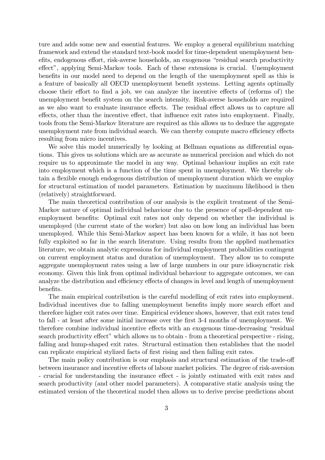ture and adds some new and essential features. We employ a general equilibrium matching framework and extend the standard text-book model for time-dependent unemployment benefits, endogenous effort, risk-averse households, an exogenous "residual search productivity effect", applying Semi-Markov tools. Each of these extensions is crucial. Unemployment benefits in our model need to depend on the length of the unemployment spell as this is a feature of basically all OECD unemployment benefit systems. Letting agents optimally choose their effort to find a job, we can analyze the incentive effects of (reforms of) the unemployment benefit system on the search intensity. Risk-averse households are required as we also want to evaluate insurance effects. The residual effect allows us to capture all effects, other than the incentive effect, that influence exit rates into employment. Finally, tools from the Semi-Markov literature are required as this allows us to deduce the aggregate unemployment rate from individual search. We can thereby compute macro efficiency effects resulting from micro incentives.

We solve this model numerically by looking at Bellman equations as differential equations. This gives us solutions which are as accurate as numerical precision and which do not require us to approximate the model in any way. Optimal behaviour implies an exit rate into employment which is a function of the time spent in unemployment. We thereby obtain a flexible enough endogenous distribution of unemployment duration which we employ for structural estimation of model parameters. Estimation by maximum likelihood is then (relatively) straightforward.

The main theoretical contribution of our analysis is the explicit treatment of the Semi-Markov nature of optimal individual behaviour due to the presence of spell-dependent unemployment benefits: Optimal exit rates not only depend on whether the individual is unemployed (the current state of the worker) but also on how long an individual has been unemployed. While this Semi-Markov aspect has been known for a while, it has not been fully exploited so far in the search literature. Using results from the applied mathematics literature, we obtain analytic expressions for individual employment probabilities contingent on current employment status and duration of unemployment. They allow us to compute aggregate unemployment rates using a law of large numbers in our pure idiosyncratic risk economy. Given this link from optimal individual behaviour to aggregate outcomes, we can analyze the distribution and efficiency effects of changes in level and length of unemployment benefits.

The main empirical contribution is the careful modelling of exit rates into employment. Individual incentives due to falling unemployment benefits imply more search effort and therefore higher exit rates over time. Empirical evidence shows, however, that exit rates tend to fall - at least after some initial increase over the Örst 3-4 months of unemployment. We therefore combine individual incentive effects with an exogenous time-decreasing "residual search productivity effect" which allows us to obtain - from a theoretical perspective - rising, falling and hump-shaped exit rates. Structural estimation then establishes that the model can replicate empirical stylized facts of first rising and then falling exit rates.

The main policy contribution is our emphasis and structural estimation of the trade-off between insurance and incentive effects of labour market policies. The degree of risk-aversion - crucial for understanding the insurance effect - is jointly estimated with exit rates and search productivity (and other model parameters). A comparative static analysis using the estimated version of the theoretical model then allows us to derive precise predictions about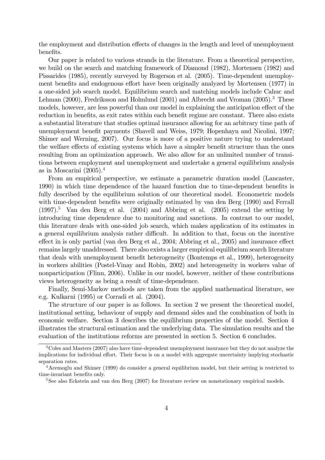the employment and distribution effects of changes in the length and level of unemployment benefits.

Our paper is related to various strands in the literature. From a theoretical perspective, we build on the search and matching framework of Diamond (1982), Mortensen (1982) and Pissarides (1985), recently surveyed by Rogerson et al. (2005). Time-dependent unemployment benefits and endogenous effort have been originally analyzed by Mortensen (1977) in a one-sided job search model. Equilibrium search and matching models include Cahuc and Lehman (2000), Fredriksson and Holmlund (2001) and Albrecht and Vroman (2005).<sup>3</sup> These models, however, are less powerful than our model in explaining the anticipation effect of the reduction in benefits, as exit rates within each benefit regime are constant. There also exists a substantial literature that studies optimal insurance allowing for an arbitrary time path of unemployment benefit payments (Shavell and Weiss, 1979; Hopenhayn and Nicolini, 1997; Shimer and Werning, 2007). Our focus is more of a positive nature trying to understand the welfare effects of existing systems which have a simpler benefit structure than the ones resulting from an optimization approach. We also allow for an unlimited number of transitions between employment and unemployment and undertake a general equilibrium analysis as in Moscarini  $(2005)^{4}$ 

From an empirical perspective, we estimate a parametric duration model (Lancaster, 1990) in which time dependence of the hazard function due to time-dependent benefits is fully described by the equilibrium solution of our theoretical model. Econometric models with time-dependent benefits were originally estimated by van den Berg (1990) and Ferrall  $(1997).$ <sup>5</sup> Van den Berg et al.  $(2004)$  and Abbring et al.  $(2005)$  extend the setting by introducing time dependence due to monitoring and sanctions. In contrast to our model, this literature deals with one-sided job search, which makes application of its estimates in a general equilibrium analysis rather difficult. In addition to that, focus on the incentive effect in is only partial (van den Berg et al., 2004; Abbring et al., 2005) and insurance effect remains largely unaddressed. There also exists a larger empirical equilibrium search literature that deals with unemployment benefit heterogeneity (Bontemps et al., 1999), heterogeneity in workers abilities (Postel-Vinay and Robin, 2002) and heterogeneity in workers value of nonparticipation (Flinn, 2006). Unlike in our model, however, neither of these contributions views heterogeneity as being a result of time-dependence.

Finally, Semi-Markov methods are taken from the applied mathematical literature, see e.g. Kulkarni (1995) or Corradi et al. (2004).

The structure of our paper is as follows. In section 2 we present the theoretical model, institutional setting, behaviour of supply and demand sides and the combination of both in economic welfare. Section 3 describes the equilibrium properties of the model. Section 4 illustrates the structural estimation and the underlying data. The simulation results and the evaluation of the institutions reforms are presented in section 5. Section 6 concludes.

<sup>3</sup>Coles and Masters (2007) also have time-dependent unemployment insurance but they do not analyze the implications for individual effort. Their focus is on a model with aggregate uncertainty implying stochastic separation rates.

<sup>4</sup>Acemoglu and Shimer (1999) do consider a general equilibrium model, but their setting is restricted to time-invariant benefits only.

<sup>&</sup>lt;sup>5</sup>See also Eckstein and van den Berg (2007) for literature review on nonstationary empirical models.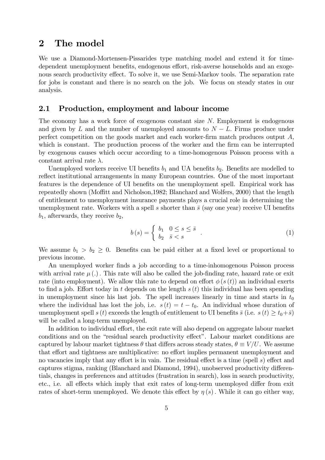# 2 The model

We use a Diamond-Mortensen-Pissarides type matching model and extend it for timedependent unemployment benefits, endogenous effort, risk-averse households and an exogenous search productivity effect. To solve it, we use Semi-Markov tools. The separation rate for jobs is constant and there is no search on the job. We focus on steady states in our analysis.

### 2.1 Production, employment and labour income

The economy has a work force of exogenous constant size N: Employment is endogenous and given by L and the number of unemployed amounts to  $N - L$ . Firms produce under perfect competition on the goods market and each worker-firm match produces output  $A$ , which is constant. The production process of the worker and the firm can be interrupted by exogenous causes which occur according to a time-homogenous Poisson process with a constant arrival rate  $\lambda$ .

Unemployed workers receive UI benefits  $b_1$  and UA benefits  $b_2$ . Benefits are modelled to reflect institutional arrangements in many European countries. One of the most important features is the dependence of UI benefits on the unemployment spell. Empirical work has repeatedly shown (Moffitt and Nicholson, 1982; Blanchard and Wolfers, 2000) that the length of entitlement to unemployment insurance payments plays a crucial role in determining the unemployment rate. Workers with a spell s shorter than  $\bar{s}$  (say one year) receive UI benefits  $b_1$ , afterwards, they receive  $b_2$ ,

$$
b(s) = \begin{cases} b_1 & 0 \le s \le \bar{s} \\ b_2 & \bar{s} < s \end{cases} \tag{1}
$$

We assume  $b_1 > b_2 \geq 0$ . Benefits can be paid either at a fixed level or proportional to previous income.

An unemployed worker finds a job according to a time-inhomogenous Poisson process with arrival rate  $\mu(.)$ . This rate will also be called the job-finding rate, hazard rate or exit rate (into employment). We allow this rate to depend on effort  $\phi(s(t))$  an individual exerts to find a job. Effort today in t depends on the length  $s(t)$  this individual has been spending in unemployment since his last job. The spell increases linearly in time and starts in  $t_0$ where the individual has lost the job, i.e.  $s(t) = t - t_0$ . An individual whose duration of unemployment spell s (t) exceeds the length of entitlement to UI benefits  $\bar{s}$  (i.e.  $s(t) \ge t_0+\bar{s}$ ) will be called a long-term unemployed.

In addition to individual effort, the exit rate will also depend on aggregate labour market conditions and on the "residual search productivity effect". Labour market conditions are captured by labour market tightness  $\theta$  that differs across steady states,  $\theta \equiv V/U$ . We assume that effort and tightness are multiplicative: no effort implies permanent unemployment and no vacancies imply that any effort is in vain. The residual effect is a time (spell s) effect and captures stigma, ranking (Blanchard and Diamond, 1994), unobserved productivity differentials, changes in preferences and attitudes (frustration in search), loss in search productivity, etc., i.e. all effects which imply that exit rates of long-term unemployed differ from exit rates of short-term unemployed. We denote this effect by  $\eta(s)$ . While it can go either way,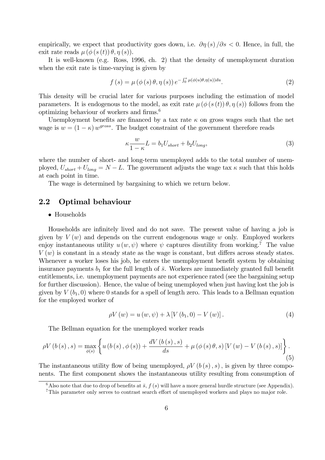empirically, we expect that productivity goes down, i.e.  $\partial \eta(s)/\partial s < 0$ . Hence, in full, the exit rate reads  $\mu(\phi(s(t))\theta, \eta(s))$ .

It is well-known (e.g. Ross, 1996, ch. 2) that the density of unemployment duration when the exit rate is time-varying is given by

$$
f(s) = \mu(\phi(s)\theta, \eta(s)) e^{-\int_0^s \mu(\phi(u)\theta, \eta(u))du}.
$$
 (2)

This density will be crucial later for various purposes including the estimation of model parameters. It is endogenous to the model, as exit rate  $\mu(\phi(s(t))\theta, \eta(s))$  follows from the optimizing behaviour of workers and firms.<sup>6</sup>

Unemployment benefits are financed by a tax rate  $\kappa$  on gross wages such that the net wage is  $w = (1 - \kappa) w^{gross}$ . The budget constraint of the government therefore reads

$$
\kappa \frac{w}{1-\kappa} L = b_1 U_{short} + b_2 U_{long}, \tag{3}
$$

where the number of short- and long-term unemployed adds to the total number of unemployed,  $U_{short} + U_{long} = N - L$ . The government adjusts the wage tax  $\kappa$  such that this holds at each point in time.

The wage is determined by bargaining to which we return below.

# 2.2 Optimal behaviour

#### Households

Households are infinitely lived and do not save. The present value of having a job is given by  $V(w)$  and depends on the current endogenous wage w only. Employed workers enjoy instantaneous utility  $u(w, \psi)$  where  $\psi$  captures disutility from working.<sup>7</sup> The value  $V(w)$  is constant in a steady state as the wage is constant, but differs across steady states. Whenever a worker loses his job, he enters the unemployment benefit system by obtaining insurance payments  $b_1$  for the full length of  $\bar{s}$ . Workers are immediately granted full benefit entitlements, i.e. unemployment payments are not experience rated (see the bargaining setup for further discussion). Hence, the value of being unemployed when just having lost the job is given by  $V(b_1, 0)$  where 0 stands for a spell of length zero. This leads to a Bellman equation for the employed worker of

$$
\rho V(w) = u(w, \psi) + \lambda \left[ V(b_1, 0) - V(w) \right]. \tag{4}
$$

The Bellman equation for the unemployed worker reads

$$
\rho V\left(b\left(s\right),s\right) = \max_{\phi(s)} \left\{ u\left(b\left(s\right),\phi\left(s\right)\right) + \frac{dV\left(b\left(s\right),s\right)}{ds} + \mu\left(\phi\left(s\right)\theta,s\right) \left[V\left(w\right) - V\left(b\left(s\right),s\right)\right] \right\}.
$$
\n(5)

The instantaneous utility flow of being unemployed,  $\rho V(b(s), s)$ , is given by three components. The first component shows the instantaneous utility resulting from consumption of

<sup>6</sup>Also note that due to drop of benefits at  $\bar{s}$ ,  $f(s)$  will have a more general hurdle structure (see Appendix).

 $\tau$ This parameter only serves to contrast search effort of unemployed workers and plays no major role.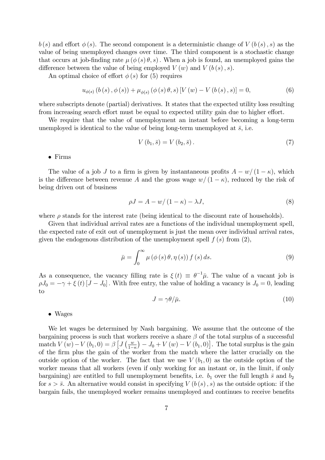$b(s)$  and effort  $\phi(s)$ . The second component is a deterministic change of  $V(b(s), s)$  as the value of being unemployed changes over time. The third component is a stochastic change that occurs at job-finding rate  $\mu(\phi(s) \theta, s)$ . When a job is found, an unemployed gains the difference between the value of being employed  $V(w)$  and  $V(b(s), s)$ .

An optimal choice of effort  $\phi(s)$  for (5) requires

$$
u_{\phi(s)}(b(s), \phi(s)) + \mu_{\phi(s)}(\phi(s)\theta, s)[V(w) - V(b(s), s)] = 0,
$$
\n(6)

where subscripts denote (partial) derivatives. It states that the expected utility loss resulting from increasing search effort must be equal to expected utility gain due to higher effort.

We require that the value of unemployment an instant before becoming a long-term unemployed is identical to the value of being long-term unemployed at  $\bar{s}$ , i.e.

$$
V(b_1, \bar{s}) = V(b_2, \bar{s}).\tag{7}
$$

Firms

The value of a job J to a firm is given by instantaneous profits  $A - w/(1 - \kappa)$ , which is the difference between revenue A and the gross wage  $w/(1 - \kappa)$ , reduced by the risk of being driven out of business

$$
\rho J = A - w/(1 - \kappa) - \lambda J,\tag{8}
$$

where  $\rho$  stands for the interest rate (being identical to the discount rate of households).

Given that individual arrival rates are a functions of the individual unemployment spell, the expected rate of exit out of unemployment is just the mean over individual arrival rates, given the endogenous distribution of the unemployment spell  $f(s)$  from  $(2)$ ,

$$
\bar{\mu} = \int_0^\infty \mu(\phi(s)\theta, \eta(s)) f(s) ds.
$$
\n(9)

As a consequence, the vacancy filling rate is  $\xi(t) \equiv \theta^{-1}\bar{\mu}$ . The value of a vacant job is  $\rho J_0 = -\gamma + \xi(t) [J - J_0]$ . With free entry, the value of holding a vacancy is  $J_0 = 0$ , leading to

$$
J = \gamma \theta / \bar{\mu}.\tag{10}
$$

#### Wages

We let wages be determined by Nash bargaining. We assume that the outcome of the bargaining process is such that workers receive a share  $\beta$  of the total surplus of a successful match  $V(w) - V(b_1, 0) = \beta \left[ J\left(\frac{w}{1 - w}\right)\right]$  $1-\kappa$  $J_0 + V(w) - V(b_1, 0)$ . The total surplus is the gain of the Örm plus the gain of the worker from the match where the latter crucially on the outside option of the worker. The fact that we use  $V(b_1,0)$  as the outside option of the worker means that all workers (even if only working for an instant or, in the limit, if only bargaining) are entitled to full unemployment benefits, i.e.  $b_1$  over the full length  $\bar{s}$  and  $b_2$ for  $s > \overline{s}$ . An alternative would consist in specifying  $V(b(s), s)$  as the outside option: if the bargain fails, the unemployed worker remains unemployed and continues to receive benefits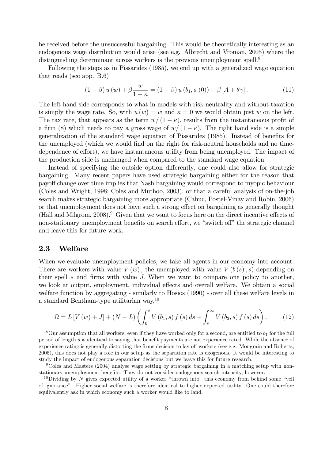he received before the unsuccessful bargaining. This would be theoretically interesting as an endogenous wage distribution would arise (see e.g. Albrecht and Vroman, 2005) where the distinguishing determinant across workers is the previous unemployment spell.<sup>8</sup>

Following the steps as in Pissarides (1985), we end up with a generalized wage equation that reads (see app. B.6)

$$
(1 - \beta) u(w) + \beta \frac{w}{1 - \kappa} = (1 - \beta) u(b_1, \phi(0)) + \beta [A + \theta \gamma]. \tag{11}
$$

The left hand side corresponds to what in models with risk-neutrality and without taxation is simply the wage rate. So, with  $u(w) = w$  and  $\kappa = 0$  we would obtain just w on the left. The tax rate, that appears as the term  $w/(1 - \kappa)$ , results from the instantaneous profit of a firm (8) which needs to pay a gross wage of  $w/(1 - \kappa)$ . The right hand side is a simple generalization of the standard wage equation of Pissarides (1985). Instead of benefits for the unemployed (which we would find on the right for risk-neutral households and no timedependence of effort), we have instantaneous utility from being unemployed. The impact of the production side is unchanged when compared to the standard wage equation.

Instead of specifying the outside option differently, one could also allow for strategic bargaining. Many recent papers have used strategic bargaining either for the reason that payo§ change over time implies that Nash bargaining would correspond to myopic behaviour (Coles and Wright, 1998; Coles and Muthoo, 2003), or that a careful analysis of on-the-job search makes strategic bargaining more appropriate (Cahuc, Postel-Vinay and Robin, 2006) or that unemployment does not have such a strong effect on bargaining as generally thought (Hall and Milgrom,  $2008$ ).<sup>9</sup> Given that we want to focus here on the direct incentive effects of non-stationary unemployment benefits on search effort, we "switch off" the strategic channel and leave this for future work.

# 2.3 Welfare

When we evaluate unemployment policies, we take all agents in our economy into account. There are workers with value  $V(w)$ , the unemployed with value  $V(b(s), s)$  depending on their spell  $s$  and firms with value  $J$ . When we want to compare one policy to another, we look at output, employment, individual effects and overall welfare. We obtain a social welfare function by aggregating - similarly to Hosios (1990) - over all these welfare levels in a standard Bentham-type utilitarian way,<sup>10</sup>

$$
\Omega = L \left[ V \left( w \right) + J \right] + \left( N - L \right) \left( \int_0^{\bar{s}} V \left( b_1, s \right) f \left( s \right) ds + \int_{\bar{s}}^{\infty} V \left( b_2, s \right) f \left( s \right) ds \right). \tag{12}
$$

 $8$ Our assumption that all workers, even if they have worked only for a second, are entitled to  $b<sub>1</sub>$  for the full period of length  $\bar{s}$  is identical to saying that benefit payments are not experience rated. While the absence of experience rating is generally distorting the firms decision to lay off workers (see e.g. Mongrain and Roberts, 2005), this does not play a role in our setup as the separation rate is exogenous. It would be interesting to study the impact of endogenous separation decisions but we leave this for future research.

<sup>9</sup>Coles and Masters (2004) analyse wage setting by strategic bargaining in a matching setup with nonstationary unemployment benefits. They do not consider endogenous search intensity, however.

<sup>&</sup>lt;sup>10</sup>Dividing by N gives expected utility of a worker "thrown into" this economy from behind some "veil of ignoranceî. Higher social welfare is therefore identical to higher expected utility. One could therefore equilvalently ask in which economy such a worker would like to land.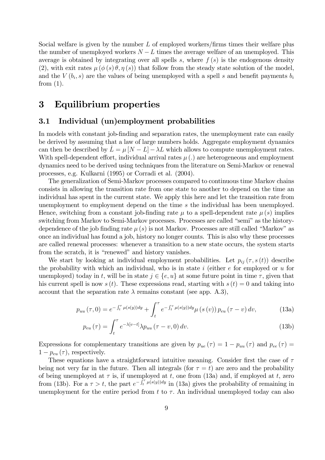Social welfare is given by the number  $L$  of employed workers/firms times their welfare plus the number of unemployed workers  $N - L$  times the average welfare of an unemployed. This average is obtained by integrating over all spells s, where  $f(s)$  is the endogenous density (2), with exit rates  $\mu (\phi(s) \theta, \eta(s))$  that follow from the steady state solution of the model, and the  $V(b_i, s)$  are the values of being unemployed with a spell s and benefit payments  $b_i$ from  $(1)$ .

# 3 Equilibrium properties

# 3.1 Individual (un)employment probabilities

In models with constant job-finding and separation rates, the unemployment rate can easily be derived by assuming that a law of large numbers holds. Aggregate employment dynamics can then be described by  $L = \mu [N - L] - \lambda L$  which allows to compute unemployment rates. With spell-dependent effort, individual arrival rates  $\mu$  (.) are heterogeneous and employment dynamics need to be derived using techniques from the literature on Semi-Markov or renewal processes, e.g. Kulkarni (1995) or Corradi et al. (2004).

The generalization of Semi-Markov processes compared to continuous time Markov chains consists in allowing the transition rate from one state to another to depend on the time an individual has spent in the current state. We apply this here and let the transition rate from unemployment to employment depend on the time s the individual has been unemployed. Hence, switching from a constant job-finding rate  $\mu$  to a spell-dependent rate  $\mu(s)$  implies switching from Markov to Semi-Markov processes. Processes are called "semi" as the historydependence of the job finding rate  $\mu(s)$  is not Markov. Processes are still called "Markov" as once an individual has found a job, history no longer counts. This is also why these processes are called renewal processes: whenever a transition to a new state occurs, the system starts from the scratch, it is "renewed" and history vanishes.

We start by looking at individual employment probabilities. Let  $p_{ij}(\tau, s(t))$  describe the probability with which an individual, who is in state i (either  $e$  for employed or  $u$  for unemployed) today in t, will be in state  $j \in \{e, u\}$  at some future point in time  $\tau$ , given that his current spell is now  $s(t)$ . These expressions read, starting with  $s(t) = 0$  and taking into account that the separation rate  $\lambda$  remains constant (see app. A.3),

$$
p_{uu}(\tau,0) = e^{-\int_t^{\tau} \mu(s(y))dy} + \int_t^{\tau} e^{-\int_t^{\tau} \mu(s(y))dy} \mu(s(v)) p_{eu}(\tau - v) dv,
$$
 (13a)

$$
p_{eu}(\tau) = \int_{t}^{\tau} e^{-\lambda [v-t]} \lambda p_{uu}(\tau - v, 0) dv.
$$
 (13b)

Expressions for complementary transitions are given by  $p_{ue}(\tau) = 1 - p_{uu}(\tau)$  and  $p_{ee}(\tau) =$  $1 - p_{eu}(\tau)$ , respectively.

These equations have a straightforward intuitive meaning. Consider first the case of  $\tau$ being not very far in the future. Then all integrals (for  $\tau = t$ ) are zero and the probability of being unemployed at  $\tau$  is, if unemployed at t, one from (13a) and, if employed at t, zero from (13b). For a  $\tau > t$ , the part  $e^{-\int_t^{\tau} \mu(s(y))dy}$  in (13a) gives the probability of remaining in unemployment for the entire period from  $t$  to  $\tau$ . An individual unemployed today can also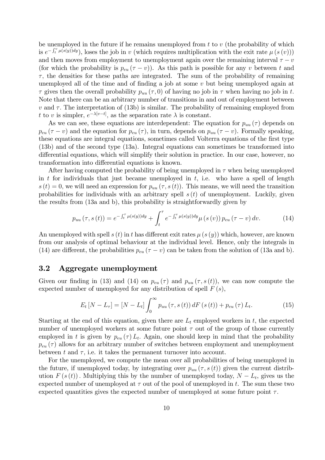be unemployed in the future if he remains unemployed from  $t$  to  $v$  (the probability of which is  $e^{-\int_t^v \mu(s(y))dy}$ , loses the job in v (which requires multiplication with the exit rate  $\mu(s(v))$ ) and then moves from employment to unemployment again over the remaining interval  $\tau - v$ (for which the probability is  $p_{eu}(\tau - v)$ ). As this path is possible for any v between t and  $\tau$ , the densities for these paths are integrated. The sum of the probability of remaining unemployed all of the time and of finding a job at some  $v$  but being unemployed again at  $\tau$  gives then the overall probability  $p_{uu}(\tau,0)$  of having no job in  $\tau$  when having no job in t. Note that there can be an arbitrary number of transitions in and out of employment between  $v$  and  $\tau$ . The interpretation of (13b) is similar. The probability of remaining employed from t to v is simpler,  $e^{-\lambda[v-t]}$ , as the separation rate  $\lambda$  is constant.

As we can see, these equations are interdependent: The equation for  $p_{uu}(\tau)$  depends on  $p_{eu}(\tau - v)$  and the equation for  $p_{eu}(\tau)$ , in turn, depends on  $p_{uu}(\tau - v)$ . Formally speaking, these equations are integral equations, sometimes called Volterra equations of the first type (13b) and of the second type (13a). Integral equations can sometimes be transformed into differential equations, which will simplify their solution in practice. In our case, however, no transformation into differential equations is known.

After having computed the probability of being unemployed in  $\tau$  when being unemployed in t for individuals that just became unemployed in  $t$ , i.e. who have a spell of length  $s(t) = 0$ , we will need an expression for  $p_{uu}(\tau, s(t))$ . This means, we will need the transition probabilities for individuals with an arbitrary spell  $s(t)$  of unemployment. Luckily, given the results from (13a and b), this probability is straightforwardly given by

$$
p_{uu}(\tau, s(t)) = e^{-\int_t^{\tau} \mu(s(y))dy} + \int_t^{\tau} e^{-\int_t^{\tau} \mu(s(y))dy} \mu(s(v)) p_{eu}(\tau - v) dv.
$$
 (14)

An unemployed with spell s  $(t)$  in t has different exit rates  $\mu(s(y))$  which, however, are known from our analysis of optimal behaviour at the individual level. Hence, only the integrals in (14) are different, the probabilities  $p_{eu}(\tau - v)$  can be taken from the solution of (13a and b).

# 3.2 Aggregate unemployment

Given our finding in (13) and (14) on  $p_{eu}(\tau)$  and  $p_{uu}(\tau,s(t))$ , we can now compute the expected number of unemployed for any distribution of spell  $F(s)$ ,

$$
E_t[N - L_{\tau}] = [N - L_t] \int_0^{\infty} p_{uu}(\tau, s(t)) dF(s(t)) + p_{eu}(\tau) L_t.
$$
 (15)

Starting at the end of this equation, given there are  $L_t$  employed workers in t, the expected number of unemployed workers at some future point  $\tau$  out of the group of those currently employed in t is given by  $p_{eu}(\tau) L_t$ . Again, one should keep in mind that the probability  $p_{eu}(\tau)$  allows for an arbitrary number of switches between employment and unemployment between t and  $\tau$ , i.e. it takes the permanent turnover into account.

For the unemployed, we compute the mean over all probabilities of being unemployed in the future, if unemployed today, by integrating over  $p_{uu}(\tau, s(t))$  given the current distribution  $F(s(t))$ . Multiplying this by the number of unemployed today,  $N - L_t$ , gives us the expected number of unemployed at  $\tau$  out of the pool of unemployed in t. The sum these two expected quantities gives the expected number of unemployed at some future point  $\tau$ .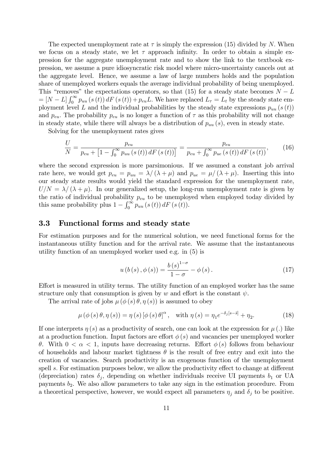The expected unemployment rate at  $\tau$  is simply the expression (15) divided by N. When we focus on a steady state, we let  $\tau$  approach infinity. In order to obtain a simple expression for the aggregate unemployment rate and to show the link to the textbook expression, we assume a pure idiosyncratic risk model where micro-uncertainty cancels out at the aggregate level. Hence, we assume a law of large numbers holds and the population share of unemployed workers equals the average individual probability of being unemployed. This "removes" the expectations operators, so that (15) for a steady state becomes  $N - L$  $=[N-L]\int_0^\infty p_{uu}(s(t)) dF(s(t)) + p_{eu}L$ . We have replaced  $L_\tau = L_t$  by the steady state employment level L and the individual probabilities by the steady state expressions  $p_{uu}(s(t))$ and  $p_{eu}$ . The probability  $p_{eu}$  is no longer a function of  $\tau$  as this probability will not change in steady state, while there will always be a distribution of  $p_{uu}(s)$ , even in steady state.

Solving for the unemployment rates gives

$$
\frac{U}{N} = \frac{p_{eu}}{p_{eu} + \left[1 - \int_0^\infty p_{uu}(s(t)) dF(s(t))\right]} = \frac{p_{eu}}{p_{eu} + \int_0^\infty p_{ue}(s(t)) dF(s(t))},\tag{16}
$$

where the second expression is more parsimonious. If we assumed a constant job arrival rate here, we would get  $p_{eu} = p_{uu} = \lambda/(\lambda + \mu)$  and  $p_{ue} = \mu/(\lambda + \mu)$ . Inserting this into our steady state results would yield the standard expression for the unemployment rate,  $U/N = \lambda / (\lambda + \mu)$ . In our generalized setup, the long-run unemployment rate is given by the ratio of individual probability  $p_{eu}$  to be unemployed when employed today divided by this same probability plus  $1 - \int_0^\infty p_{uu}(s(t)) dF(s(t))$ .

### 3.3 Functional forms and steady state

For estimation purposes and for the numerical solution, we need functional forms for the instantaneous utility function and for the arrival rate. We assume that the instantaneous utility function of an unemployed worker used e.g. in (5) is

$$
u(b(s), \phi(s)) = \frac{b(s)^{1-\sigma}}{1-\sigma} - \phi(s).
$$
 (17)

Effort is measured in utility terms. The utility function of an employed worker has the same structure only that consumption is given by w and effort is the constant  $\psi$ .

The arrival rate of jobs  $\mu (\phi (s) \theta, \eta (s))$  is assumed to obey

$$
\mu(\phi(s)\theta, \eta(s)) = \eta(s) [\phi(s)\theta]^{\alpha}, \quad \text{with } \eta(s) = \eta_1 e^{-\delta_j[s-\bar{s}]} + \eta_2.
$$
 (18)

If one interprets  $\eta(s)$  as a productivity of search, one can look at the expression for  $\mu(s)$  like at a production function. Input factors are effort  $\phi(s)$  and vacancies per unemployed worker  $\theta$ . With  $0 < \alpha < 1$ , inputs have decreasing returns. Effort  $\phi(s)$  follows from behaviour of households and labour market tightness  $\theta$  is the result of free entry and exit into the creation of vacancies. Search productivity is an exogenous function of the unemployment spell s. For estimation purposes below, we allow the productivity effect to change at different (depreciation) rates  $\delta_j$ , depending on whether individuals receive UI payments  $b_1$  or UA payments  $b_2$ . We also allow parameters to take any sign in the estimation procedure. From a theoretical perspective, however, we would expect all parameters  $\eta_j$  and  $\delta_j$  to be positive.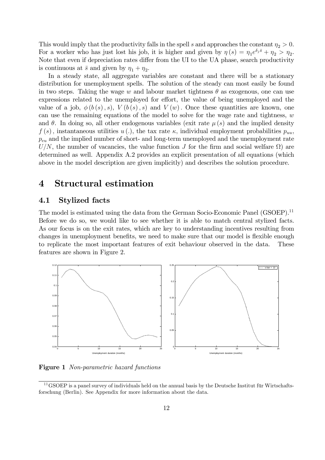This would imply that the productivity falls in the spell s and approaches the constant  $\eta_2 > 0$ . For a worker who has just lost his job, it is higher and given by  $\eta(s) = \eta_1 e^{\delta_j s} + \eta_2 > \eta_2$ . Note that even if depreciation rates differ from the UI to the UA phase, search productivity is continuous at  $\bar{s}$  and given by  $\eta_1 + \eta_2$ .

In a steady state, all aggregate variables are constant and there will be a stationary distribution for unemployment spells. The solution of the steady can most easily be found in two steps. Taking the wage w and labour market tightness  $\theta$  as exogenous, one can use expressions related to the unemployed for effort, the value of being unemployed and the value of a job,  $\phi(b(s), s)$ ,  $V(b(s), s)$  and  $V(w)$ . Once these quantities are known, one can use the remaining equations of the model to solve for the wage rate and tightness, w and  $\theta$ . In doing so, all other endogenous variables (exit rate  $\mu(s)$  and the implied density  $f(s)$ , instantaneous utilities  $u(.)$ , the tax rate  $\kappa$ , individual employment probabilities  $p_{uu}$ ,  $p_{eu}$  and the implied number of short- and long-term unemployed and the unemployment rate  $U/N$ , the number of vacancies, the value function J for the firm and social welfare  $\Omega$ ) are determined as well. Appendix A.2 provides an explicit presentation of all equations (which above in the model description are given implicitly) and describes the solution procedure.

# 4 Structural estimation

# 4.1 Stylized facts

The model is estimated using the data from the German Socio-Economic Panel (GSOEP).<sup>11</sup> Before we do so, we would like to see whether it is able to match central stylized facts. As our focus is on the exit rates, which are key to understanding incentives resulting from changes in unemployment benefits, we need to make sure that our model is flexible enough to replicate the most important features of exit behaviour observed in the data. These features are shown in Figure 2.



Figure 1 Non-parametric hazard functions

 $11$ GSOEP is a panel survey of individuals held on the annual basis by the Deutsche Institut für Wirtschaftsforschung (Berlin). See Appendix for more information about the data.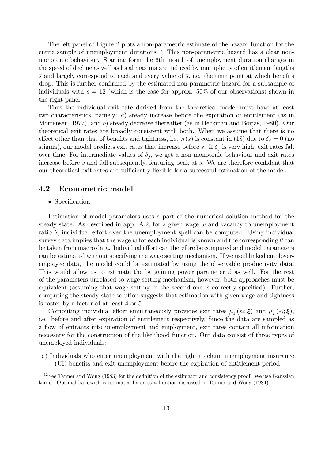The left panel of Figure 2 plots a non-parametric estimate of the hazard function for the entire sample of unemployment durations.<sup>12</sup> This non-parametric hazard has a clear nonmonotonic behaviour. Starting form the 6th month of unemployment duration changes in the speed of decline as well as local maxima are induced by multiplicity of entitlement lengths  $\bar{s}$  and largely correspond to each and every value of  $\bar{s}$ , i.e. the time point at which benefits drop. This is further confirmed by the estimated non-parametric hazard for a subsample of individuals with  $\bar{s} = 12$  (which is the case for approx. 50% of our observations) shown in the right panel.

Thus the individual exit rate derived from the theoretical model must have at least two characteristics, namely: a) steady increase before the expiration of entitlement (as in Mortensen, 1977), and b) steady decrease thereafter (as in Heckman and Borjas, 1980). Our theoretical exit rates are broadly consistent with both. When we assume that there is no effect other than that of benefits and tightness, i.e.  $\eta(s)$  is constant in (18) due to  $\delta_j = 0$  (no stigma), our model predicts exit rates that increase before  $\bar{s}$ . If  $\delta_j$  is very high, exit rates fall over time. For intermediate values of  $\delta_j$ , we get a non-monotonic behaviour and exit rates increase before  $\bar{s}$  and fall subsequently, featuring peak at  $\bar{s}$ . We are therefore confident that our theoretical exit rates are sufficiently flexible for a successful estimation of the model.

### 4.2 Econometric model

#### • Specification

Estimation of model parameters uses a part of the numerical solution method for the steady state. As described in app. A.2, for a given wage  $w$  and vacancy to unemployment ratio  $\theta$ , individual effort over the unemployment spell can be computed. Using individual survey data implies that the wage w for each individual is known and the corresponding  $\theta$  can be taken from macro data. Individual effort can therefore be computed and model parameters can be estimated without specifying the wage setting mechanism. If we used linked employeremployee data, the model could be estimated by using the observable productivity data. This would allow us to estimate the bargaining power parameter  $\beta$  as well. For the rest of the parameters unrelated to wage setting mechanism, however, both approaches must be equivalent (assuming that wage setting in the second one is correctly specified). Further, computing the steady state solution suggests that estimation with given wage and tightness is faster by a factor of at least 4 or 5.

Computing individual effort simultaneously provides exit rates  $\mu_1(s_i; \boldsymbol{\xi})$  and  $\mu_2(s_i; \boldsymbol{\xi})$ , i.e. before and after expiration of entitlement respectively. Since the data are sampled as a flow of entrants into unemployment and employment, exit rates contain all information necessary for the construction of the likelihood function. Our data consist of three types of unemployed individuals:

a) Individuals who enter unemployment with the right to claim unemployment insurance (UI) beneÖts and exit unemployment before the expiration of entitlement period

 $12$ See Tanner and Wong (1983) for the definition of the estimator and consistency proof. We use Gaussian kernel. Optimal bandwith is estimated by cross-validation discussed in Tanner and Wong (1984).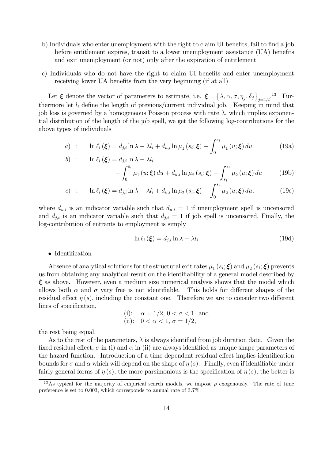- b) Individuals who enter unemployment with the right to claim UI benefits, fail to find a job before entitlement expires, transit to a lower unemployment assistance (UA) benefits and exit unemployment (or not) only after the expiration of entitlement
- c) Individuals who do not have the right to claim UI benefits and enter unemployment receiving lower UA benefits from the very beginning (if at all)

Let  $\xi$  denote the vector of parameters to estimate, i.e.  $\xi = \{\lambda, \alpha, \sigma, \eta_j, \delta_j\}_{j=1,2}^{3}$ . Furthermore let  $l_i$  define the length of previous/current individual job. Keeping in mind that job loss is governed by a homogeneous Poisson process with rate  $\lambda$ , which implies exponential distribution of the length of the job spell, we get the following log-contributions for the above types of individuals

a) : 
$$
\ln \ell_i(\boldsymbol{\xi}) = d_{j,i} \ln \lambda - \lambda l_i + d_{u,i} \ln \mu_1(s_i; \boldsymbol{\xi}) - \int_0^{s_i} \mu_1(u; \boldsymbol{\xi}) du
$$
 (19a)  
b) :  $\ln \ell_i(\boldsymbol{\xi}) = d_{i,i} \ln \lambda - \lambda l_i$ 

$$
\ln \ell_i(\boldsymbol{\xi}) = d_{j,i} \ln \lambda - \lambda l_i
$$

$$
- \int_0^{\bar{s}_i} \mu_1(u;\boldsymbol{\xi}) du + d_{u,i} \ln \mu_2(s_i;\boldsymbol{\xi}) - \int_{\bar{s}_i}^{s_i} \mu_2(u;\boldsymbol{\xi}) du \qquad (19b)
$$

$$
c) \quad : \quad \ln \ell_i \left( \boldsymbol{\xi} \right) = d_{j,i} \ln \lambda - \lambda l_i + d_{u,i} \ln \mu_2 \left( s_i; \boldsymbol{\xi} \right) - \int_0^{s_i} \mu_2 \left( u; \boldsymbol{\xi} \right) du, \tag{19c}
$$

where  $d_{u,i}$  is an indicator variable such that  $d_{u,i} = 1$  if unemployment spell is uncensored and  $d_{j,i}$  is an indicator variable such that  $d_{j,i} = 1$  if job spell is uncensored. Finally, the log-contribution of entrants to employment is simply

$$
\ln \ell_i \left( \boldsymbol{\xi} \right) = d_{j,i} \ln \lambda - \lambda l_i \tag{19d}
$$

 $\bullet$  Identification

Absence of analytical solutions for the structural exit rates  $\mu_1(s_i;\boldsymbol{\xi})$  and  $\mu_2(s_i;\boldsymbol{\xi})$  prevents us from obtaining any analytical result on the identifiability of a general model described by  $\xi$  as above. However, even a medium size numerical analysis shows that the model which allows both  $\alpha$  and  $\sigma$  vary free is not identifiable. This holds for different shapes of the residual effect  $\eta(s)$ , including the constant one. Therefore we are to consider two different lines of specification,

(i): 
$$
\alpha = 1/2, 0 < \sigma < 1
$$
 and  
(ii):  $0 < \alpha < 1, \sigma = 1/2$ ,

the rest being equal.

As to the rest of the parameters,  $\lambda$  is always identified from job duration data. Given the fixed residual effect,  $\sigma$  in (i) and  $\alpha$  in (ii) are always identified as unique shape parameters of the hazard function. Introduction of a time dependent residual effect implies identification bounds for  $\sigma$  and  $\alpha$  which will depend on the shape of  $\eta(s)$ . Finally, even if identifiable under fairly general forms of  $\eta(s)$ , the more parsimonious is the specification of  $\eta(s)$ , the better is

<sup>&</sup>lt;sup>13</sup>As typical for the majority of empirical search models, we impose  $\rho$  exogenously. The rate of time preference is set to 0.003, which corresponds to annual rate of  $3.7\%$ .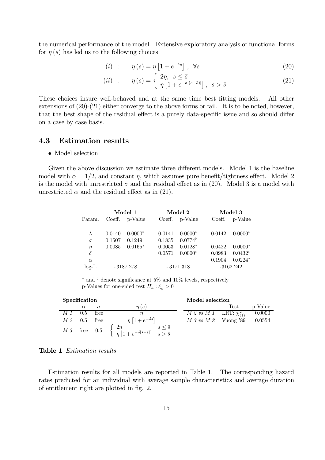the numerical performance of the model. Extensive exploratory analysis of functional forms for  $\eta(s)$  has led us to the following choices

$$
(i) : \eta(s) = \eta \left[ 1 + e^{-\delta s} \right], \forall s \tag{20}
$$

$$
(ii) \quad : \quad \eta(s) = \begin{cases} 2\eta, \ s \le s \\ \eta \left[ 1 + e^{-\delta[(s-\bar{s})]} \right], \ s > \bar{s} \end{cases} \tag{21}
$$

These choices insure well-behaved and at the same time best fitting models. All other extensions of  $(20)$ - $(21)$  either converge to the above forms or fail. It is to be noted, however, that the best shape of the residual effect is a purely data-specific issue and so should differ on a case by case basis.

#### 4.3 **Estimation results**

#### $\bullet$  Model selection

Given the above discussion we estimate three different models. Model 1 is the baseline model with  $\alpha = 1/2$ , and constant  $\eta$ , which assumes pure benefit/tightness effect. Model 2 is the model with unrestricted  $\sigma$  and the residual effect as in (20). Model 3 is a model with unrestricted  $\alpha$  and the residual effect as in (21).

|           | Model 1     |                | Model 2     |                  | Model 3     |           |
|-----------|-------------|----------------|-------------|------------------|-------------|-----------|
| Param.    |             | Coeff. p-Value |             | Coeff. p-Value   | Coeff.      | p-Value   |
|           |             |                |             |                  |             |           |
| $\lambda$ | 0.0140      | $0.0000*$      | 0.0141      | $0.0000*$        | 0.0142      | $0.0000*$ |
| $\sigma$  | 0.1507      | 0.1249         | 0.1835      | $0.0774^{\circ}$ |             |           |
| $\eta$    | 0.0085      | $0.0165*$      | 0.0053      | $0.0128*$        | 0.0422      | $0.0000*$ |
| $\delta$  |             |                | 0.0571      | $0.0000*$        | 0.0983      | $0.0432*$ |
| $\alpha$  |             |                |             |                  | 0.1904      | $0.0224*$ |
| $log-L$   | $-3187.278$ |                | $-3171.318$ |                  | $-3162.242$ |           |

\* and  $\frac{1}{2}$  denote significance at 5% and 10% levels, respectively p-Values for one-sided test  $H_a: \xi_k > 0$ 

| Specification |               |      |                                                                                                        | Model selection                       |      |         |
|---------------|---------------|------|--------------------------------------------------------------------------------------------------------|---------------------------------------|------|---------|
|               | $\alpha$      |      | $\eta(s)$                                                                                              |                                       | Test | p-Value |
| M 1           | 0.5           | free |                                                                                                        | <i>M 2 vs M 1</i> LRT: $\chi^2_{(1)}$ |      | 0.0000  |
|               | $M220.5$ free |      | $\eta\left[1+e^{-\delta s}\right]$                                                                     | $M \; 3 \; vs \; M \; 2$ Vuong '89    |      | 0.0554  |
|               |               |      | <i>M 3</i> free 0.5 $\begin{cases} 2\eta \\ \eta [1+e^{-\delta[s-\bar{s}]}] & s > \bar{s} \end{cases}$ |                                       |      |         |

### **Table 1** *Estimation results*

Estimation results for all models are reported in Table 1. The corresponding hazard rates predicted for an individual with average sample characteristics and average duration of entitlement right are plotted in fig. 2.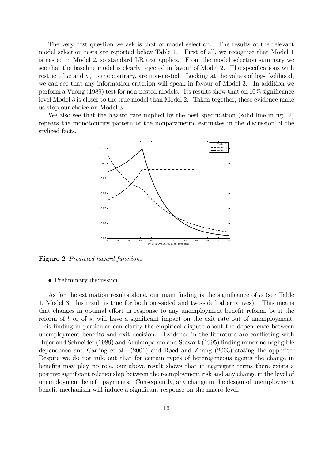The very first question we ask is that of model selection. The results of the relevant model selection tests are reported below Table 1. First of all, we recognize that Model 1 is nested in Model 2, so standard LR test applies. From the model selection summary we see that the baseline model is clearly rejected in favour of Model 2. The specifications with restricted  $\alpha$  and  $\sigma$ , to the contrary, are non-nested. Looking at the values of log-likelihood, we can see that any information criterion will speak in favour of Model 3. In addition we perform a Vuong  $(1989)$  test for non-nested models. Its results show that on  $10\%$  significance level Model 3 is closer to the true model than Model 2. Taken together, these evidence make us stop our choice on Model 3.

We also see that the hazard rate implied by the best specification (solid line in fig. 2) repeats the monotonicity pattern of the nonparametric estimates in the discussion of the stylized facts.



Figure 2 Predicted hazard functions

#### • Preliminary discussion

As for the estimation results alone, our main finding is the significance of  $\alpha$  (see Table 1, Model 3; this result is true for both one-sided and two-sided alternatives). This means that changes in optimal effort in response to any unemployment benefit reform, be it the reform of b or of  $\bar{s}$ , will have a significant impact on the exit rate out of unemployment. This finding in particular can clarify the empirical dispute about the dependence between unemployment benefits and exit decision. Evidence in the literature are conflicting with Hujer and Schneider (1989) and Arulampalam and Stewart (1995) Önding minor no negligible dependence and Carling et al.  $(2001)$  and Røed and Zhang  $(2003)$  stating the opposite. Despite we do not rule out that for certain types of heterogeneous agents the change in benefits may play no role, our above result shows that in aggregate terms there exists a positive significant relationship between the reemployment risk and any change in the level of unemployment benefit payments. Consequently, any change in the design of unemployment benefit mechanism will induce a significant response on the macro level.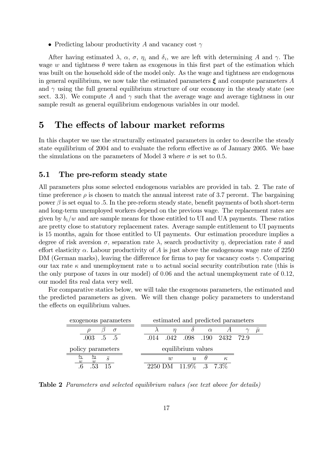• Predicting labour productivity A and vacancy cost  $\gamma$ 

After having estimated  $\lambda$ ,  $\alpha$ ,  $\sigma$ ,  $\eta_i$  and  $\delta_i$ , we are left with determining A and  $\gamma$ . The wage w and tightness  $\theta$  were taken as exogenous in this first part of the estimation which was built on the household side of the model only. As the wage and tightness are endogenous in general equilibrium, we now take the estimated parameters  $\xi$  and compute parameters A and  $\gamma$  using the full general equilibrium structure of our economy in the steady state (see sect. 3.3). We compute A and  $\gamma$  such that the average wage and average tightness in our sample result as general equilibrium endogenous variables in our model.

# 5 The effects of labour market reforms

In this chapter we use the structurally estimated parameters in order to describe the steady state equilibrium of 2004 and to evaluate the reform effective as of January 2005. We base the simulations on the parameters of Model 3 where  $\sigma$  is set to 0.5.

### 5.1 The pre-reform steady state

All parameters plus some selected endogenous variables are provided in tab. 2. The rate of time preference  $\rho$  is chosen to match the annual interest rate of 3.7 percent. The bargaining power  $\beta$  is set equal to .5. In the pre-reform steady state, benefit payments of both short-term and long-term unemployed workers depend on the previous wage. The replacement rates are given by  $b_i/w$  and are sample means for those entitled to UI and UA payments. These ratios are pretty close to statutory replacement rates. Average sample entitlement to UI payments is 15 months, again for those entitled to UI payments. Our estimation procedure implies a degree of risk aversion  $\sigma$ , separation rate  $\lambda$ , search productivity  $\eta$ , depreciation rate  $\delta$  and effort elasticity  $\alpha$ . Labour productivity of A is just above the endogenous wage rate of 2250 DM (German marks), leaving the difference for firms to pay for vacancy costs  $\gamma$ . Comparing our tax rate  $\kappa$  and unemployment rate u to actual social security contribution rate (this is the only purpose of taxes in our model) of 0:06 and the actual unemployment rate of 0:12, our model fits real data very well.

For comparative statics below, we will take the exogenous parameters, the estimated and the predicted parameters as given. We will then change policy parameters to understand the effects on equilibrium values.

| exogenous parameters     | estimated and predicted parameters |                          |  |  |
|--------------------------|------------------------------------|--------------------------|--|--|
| $\sigma$                 |                                    | $\alpha$                 |  |  |
| $.003 \quad .5 \quad .5$ | .014                               | .042 .098 .190 2432 72.9 |  |  |
|                          |                                    |                          |  |  |
| policy parameters        |                                    | equilibrium values       |  |  |
| $b_1$<br>$^{b_2}$<br>w   | $\eta$                             | $\mathcal{U}$<br>К,      |  |  |

Table 2 Parameters and selected equilibrium values (see text above for details)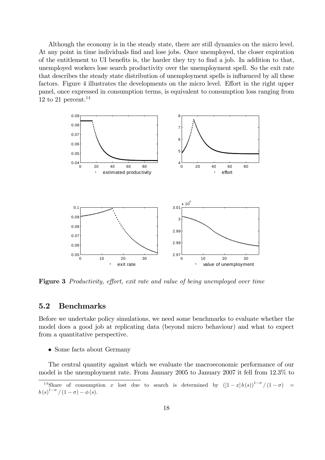Although the economy is in the steady state, there are still dynamics on the micro level. At any point in time individuals find and lose jobs. Once unemployed, the closer expiration of the entitlement to UI benefits is, the harder they try to find a job. In addition to that, unemployed workers lose search productivity over the unemployment spell. So the exit rate that describes the steady state distribution of unemployment spells is influenced by all these factors. Figure 4 illustrates the developments on the micro level. Effort in the right upper panel, once expressed in consumption terms, is equivalent to consumption loss ranging from 12 to 21 percent.<sup>14</sup>



**Figure 3** Productivity, effort, exit rate and value of being unemployed over time

#### $5.2$ **Benchmarks**

Before we undertake policy simulations, we need some benchmarks to evaluate whether the model does a good job at replicating data (beyond micro behaviour) and what to expect from a quantitative perspective.

 $\bullet$  Some facts about Germany

The central quantity against which we evaluate the macroeconomic performance of our model is the unemployment rate. From January 2005 to January 2007 it fell from 12.3% to

<sup>&</sup>lt;sup>14</sup>Share of consumption x lost due to search is determined by  $([1-x]b(s))^{1-\sigma}/(1-\sigma)$  =  $b(s)^{1-\sigma}/(1-\sigma)-\phi(s).$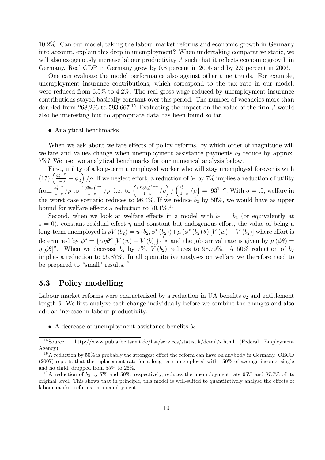10.2%. Can our model, taking the labour market reforms and economic growth in Germany into account, explain this drop in unemployment? When undertaking comparative static, we will also exogenously increase labour productivity  $A$  such that it reflects economic growth in Germany. Real GDP in Germany grew by 0.8 percent in 2005 and by 2.9 percent in 2006.

One can evaluate the model performance also against other time trends. For example, unemployment insurance contributions, which correspond to the tax rate in our model, were reduced from 6.5% to 4.2%. The real gross wage reduced by unemployment insurance contributions stayed basically constant over this period. The number of vacancies more than doubled from 268,296 to 593,667.<sup>15</sup> Evaluating the impact on the value of the firm J would also be interesting but no appropriate data has been found so far.

#### Analytical benchmarks

When we ask about welfare effects of policy reforms, by which order of magnitude will welfare and values change when unemployment assistance payments  $b_2$  reduce by approx. 7%? We use two analytical benchmarks for our numerical analysis below.

First, utility of a long-term unemployed worker who will stay unemployed forever is with (17)  $\left(\frac{b_2^{1-\sigma}}{1-\sigma}-\phi_2\right)/\rho$ . If we neglect effort, a reduction of  $b_2$  by 7% implies a reduction of utility from  $\frac{b_2^{1-\sigma}}{1-\sigma}/\rho$  to  $\frac{(.93b_2)^{1-\sigma}}{1-\sigma}$  $\frac{(3b_2)^{1-\sigma}}{1-\sigma}/\rho$ , i.e. to  $\left(\frac{(.93b_2)^{1-\sigma}}{1-\sigma}\right)$  $\frac{(3b_2)^{1-\sigma}}{1-\sigma}/\rho$  /  $\left(\frac{b_2^{1-\sigma}}{1-\sigma}/\rho\right) = .93^{1-\sigma}$ . With  $\sigma = .5$ , welfare in the worst case scenario reduces to 96.4%. If we reduce  $b_2$  by 50%, we would have as upper bound for welfare effects a reduction to  $70.1\%$ <sup>16</sup>

Second, when we look at welfare effects in a model with  $b_1 = b_2$  (or equivalently at  $\bar{s} = 0$ , constant residual effect  $\eta$  and constant but endogenous effort, the value of being a long-term unemployed is  $\rho V(b_2) = u(b_2, \phi^*(b_2)) + \mu (\phi^*(b_2) \theta) [V(w) - V(b_2)]$  where effort is determined by  $\phi^* = {\alpha \eta \theta^{\alpha} [V(w) - V(b)] \}^{\frac{1}{1-\alpha}}$  and the job arrival rate is given by  $\mu (\phi \theta) =$  $\eta [\phi \theta]^\alpha$ . When we decrease  $b_2$  by 7%,  $V(b_2)$  reduces to 98.79%. A 50% reduction of  $b_2$ implies a reduction to 95:87%. In all quantitative analyses on welfare we therefore need to be prepared to "small" results. $17$ 

# 5.3 Policy modelling

Labour market reforms were characterized by a reduction in UA benefits  $b_2$  and entitlement length  $\bar{s}$ . We first analyze each change individually before we combine the changes and also add an increase in labour productivity.

• A decrease of unemployment assistance benefits  $b_2$ 

<sup>15</sup>Source: http://www.pub.arbeitsamt.de/hst/services/statistik/detail/z.html (Federal Employment Agency).

 $16A$  reduction by 50% is probably the strongest effect the reform can have on anybody in Germany. OECD (2007) reports that the replacement rate for a long-term unemployed with 150% of average income, single and no child, dropped from 55% to 26%.

<sup>&</sup>lt;sup>17</sup>A reduction of  $b_2$  by 7% and 50%, respectively, reduces the unemployment rate 95% and 87.7% of its original level. This shows that in principle, this model is well-suited to quantitatively analyse the effects of labour market reforms on unemployment.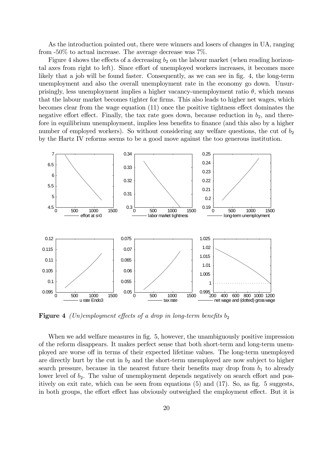As the introduction pointed out, there were winners and losers of changes in UA, ranging from  $-50\%$  to actual increase. The average decrease was  $7\%$ .

Figure 4 shows the effects of a decreasing  $b_2$  on the labour market (when reading horizontal axes from right to left). Since effort of unemployed workers increases, it becomes more likely that a job will be found faster. Consequently, as we can see in fig. 4, the long-term unemployment and also the overall unemployment rate in the economy go down. Unsurprisingly, less unemployment implies a higher vacancy-unemployment ratio  $\theta$ , which means that the labour market becomes tighter for firms. This also leads to higher net wages, which becomes clear from the wage equation  $(11)$  once the positive tightness effect dominates the negative effort effect. Finally, the tax rate goes down, because reduction in  $b_2$ , and therefore in equilibrium unemployment, implies less benefits to finance (and this also by a higher number of employed workers). So without considering any welfare questions, the cut of  $b<sub>2</sub>$ by the Hartz IV reforms seems to be a good move against the too generous institution.



**Figure 4** (Un)employment effects of a drop in long-term benefits  $b_2$ 

When we add welfare measures in fig. 5, however, the unambiguously positive impression of the reform disappears. It makes perfect sense that both short-term and long-term unemployed are worse off in terms of their expected lifetime values. The long-term unemployed are directly hurt by the cut in  $b_2$  and the short-term unemployed are now subject to higher search pressure, because in the nearest future their benefits may drop from  $b_1$  to already lower level of  $b_2$ . The value of unemployment depends negatively on search effort and positively on exit rate, which can be seen from equations  $(5)$  and  $(17)$ . So, as fig. 5 suggests, in both groups, the effort effect has obviously outweighed the employment effect. But it is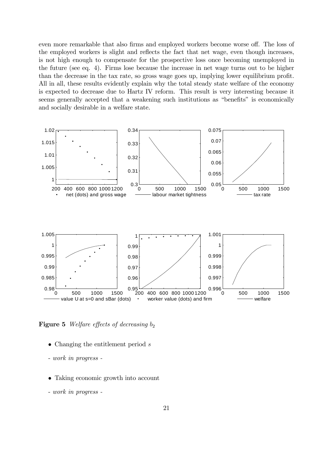even more remarkable that also firms and employed workers become worse off. The loss of the employed workers is slight and reflects the fact that net wage, even though increases, is not high enough to compensate for the prospective loss once becoming unemployed in the future (see eq. 4). Firms lose because the increase in net wage turns out to be higher than the decrease in the tax rate, so gross wage goes up, implying lower equilibrium profit. All in all, these results evidently explain why the total steady state welfare of the economy is expected to decrease due to Hartz IV reform. This result is very interesting because it seems generally accepted that a weakening such institutions as "benefits" is economically and socially desirable in a welfare state.



**Figure 5** Welfare effects of decreasing  $b_2$ 

- Changing the entitlement period s
- work in progress -
- Taking economic growth into account
- work in progress -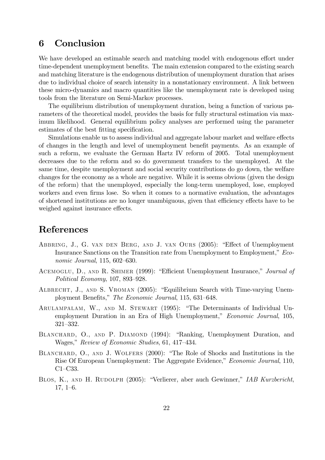# 6 Conclusion

We have developed an estimable search and matching model with endogenous effort under time-dependent unemployment benefits. The main extension compared to the existing search and matching literature is the endogenous distribution of unemployment duration that arises due to individual choice of search intensity in a nonstationary environment. A link between these micro-dynamics and macro quantities like the unemployment rate is developed using tools from the literature on Semi-Markov processes.

The equilibrium distribution of unemployment duration, being a function of various parameters of the theoretical model, provides the basis for fully structural estimation via maximum likelihood. General equilibrium policy analyses are performed using the parameter estimates of the best fitting specification.

Simulations enable us to assess individual and aggregate labour market and welfare effects of changes in the length and level of unemployment benefit payments. As an example of such a reform, we evaluate the German Hartz IV reform of 2005. Total unemployment decreases due to the reform and so do government transfers to the unemployed. At the same time, despite unemployment and social security contributions do go down, the welfare changes for the economy as a whole are negative. While it is seems obvious (given the design of the reform) that the unemployed, especially the long-term unemployed, lose, employed workers and even firms lose. So when it comes to a normative evaluation, the advantages of shortened institutions are no longer unambiguous, given that efficiency effects have to be weighed against insurance effects.

# References

- ABBRING, J., G. VAN DEN BERG, AND J. VAN OURS (2005): "Effect of Unemployment Insurance Sanctions on the Transition rate from Unemployment to Employment," Economic Journal,  $115, 602 - 630$ .
- ACEMOGLU, D., AND R. SHIMER (1999): "Efficient Unemployment Insurance," Journal of Political Economy,  $107, 893-928$ .
- ALBRECHT, J., AND S. VROMAN (2005): "Equilibrium Search with Time-varying Unemployment Benefits," The Economic Journal, 115, 631-648.
- ARULAMPALAM, W., AND M. STEWART (1995): "The Determinants of Individual Unemployment Duration in an Era of High Unemployment," Economic Journal, 105, 321-332.
- BLANCHARD, O., AND P. DIAMOND (1994): "Ranking, Unemployment Duration, and Wages," Review of Economic Studies, 61, 417-434.
- BLANCHARD, O., AND J. WOLFERS (2000): "The Role of Shocks and Institutions in the Rise Of European Unemployment: The Aggregate Evidence," Economic Journal, 110,  $C1-C33.$
- BLOS, K., AND H. RUDOLPH (2005): "Verlierer, aber auch Gewinner," IAB Kurzbericht,  $17, 1–6.$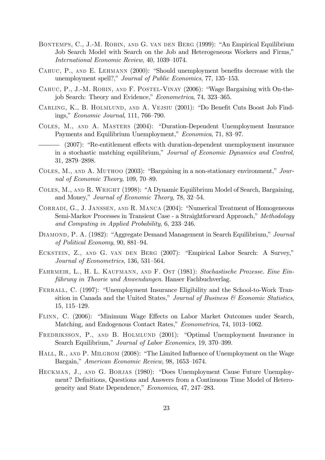- BONTEMPS, C., J.-M. ROBIN, AND G. VAN DEN BERG (1999): "An Empirical Equilibrium Job Search Model with Search on the Job and Heterogeneous Workers and Firms," International Economic Review, 40, 1039-1074.
- CAHUC, P., AND E. LEHMANN (2000): "Should unemployment benefits decrease with the unemployment spell?," Journal of Public Economics, 77, 135-153.
- CAHUC, P., J.-M. ROBIN, AND F. POSTEL-VINAY (2006): "Wage Bargaining with On-thejob Search: Theory and Evidence," Econometrica, 74, 323-365.
- CARLING, K., B. HOLMLUND, AND A. VEJSIU (2001): "Do Benefit Cuts Boost Job Findings," *Economic Journal*, 111, 766–790.
- COLES, M., AND A. MASTERS (2004): "Duration-Dependent Unemployment Insurance Payments and Equilibrium Unemployment," Economica, 71, 83-97.
	- (2007): "Re-entitlement effects with duration-dependent unemployment insurance in a stochastic matching equilibrium," Journal of Economic Dynamics and Control, 31, 2879-2898.
- COLES, M., AND A. MUTHOO (2003): "Bargaining in a non-stationary environment," Journal of Economic Theory, 109, 70–89.
- COLES, M., AND R. WRIGHT (1998): "A Dynamic Equilibrium Model of Search, Bargaining, and Money," Journal of Economic Theory, 78, 32-54.
- CORRADI, G., J. JANSSEN, AND R. MANCA (2004): "Numerical Treatment of Homogeneous Semi-Markov Processes in Transient Case - a Straightforward Approach," Methodology and Computing in Applied Probability, 6, 233-246.
- DIAMOND, P. A. (1982): "Aggregate Demand Management in Search Equilibrium," Journal of Political Economy, 90, 881-94.
- ECKSTEIN, Z., AND G. VAN DEN BERG (2007): "Empirical Labor Search: A Survey," Journal of Econometrics, 136, 531-564.
- FAHRMEIR, L., H. L. KAUFMANN, AND F. OST (1981): Stochastische Prozesse. Eine Einführung in Theorie und Anwendungen. Hanser Fachbuchverlag.
- FERRALL, C. (1997): "Unemployment Insurance Eligibility and the School-to-Work Transition in Canada and the United States," Journal of Business & Economic Statistics,  $15, 115-129.$
- FLINN, C. (2006): "Minimum Wage Effects on Labor Market Outcomes under Search, Matching, and Endogenous Contact Rates," Econometrica, 74, 1013-1062.
- FREDRIKSSON, P., AND B. HOLMLUND (2001): "Optimal Unemployment Insurance in Search Equilibrium," Journal of Labor Economics, 19, 370–399.
- HALL, R., AND P. MILGROM (2008): "The Limited Influence of Unemployment on the Wage Bargain," American Economic Review, 98, 1653–1674.
- HECKMAN, J., AND G. BORJAS (1980): "Does Unemployment Cause Future Unemployment? Definitions, Questions and Answers from a Continuous Time Model of Heterogeneity and State Dependence," *Economica*, 47, 247–283.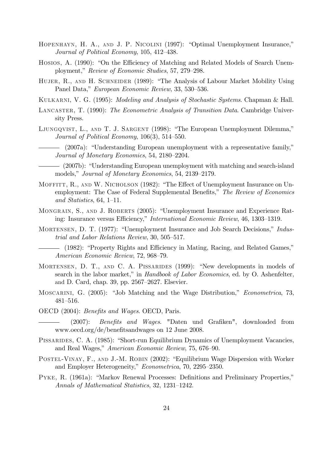- HOPENHAYN, H. A., AND J. P. NICOLINI (1997): "Optimal Unemployment Insurance," Journal of Political Economy, 105, 412-438.
- HOSIOS, A. (1990): "On the Efficiency of Matching and Related Models of Search Unemployment," Review of Economic Studies, 57, 279–298.
- HUJER, R., AND H. SCHNEIDER (1989): "The Analysis of Labour Market Mobility Using Panel Data," European Economic Review, 33, 530–536.
- Kulkarni, V. G. (1995): Modeling and Analysis of Stochastic Systems. Chapman & Hall.
- LANCASTER, T. (1990): The Econometric Analysis of Transition Data. Cambridge University Press.
- LJUNGQVIST, L., AND T. J. SARGENT (1998): "The European Unemployment Dilemma," Journal of Political Economy,  $106(3)$ ,  $514-550$ .
	- (2007a): "Understanding European unemployment with a representative family," Journal of Monetary Economics, 54, 2180–2204.
- (2007b): "Understanding European unemployment with matching and search-island models," Journal of Monetary Economics, 54, 2139–2179.
- MOFFITT, R., AND W. NICHOLSON (1982): "The Effect of Unemployment Insurance on Unemployment: The Case of Federal Supplemental Benefits," The Review of Economics and Statistics,  $64, 1-11.$
- MONGRAIN, S., AND J. ROBERTS (2005): "Unemployment Insurance and Experience Rating: Insurance versus Efficiency," International Economic Review, 46, 1303–1319.
- MORTENSEN, D. T. (1977): "Unemployment Insurance and Job Search Decisions," Industrial and Labor Relations Review,  $30, 505-517$ .
- (1982): "Property Rights and Efficiency in Mating, Racing, and Related Games," American Economic Review, 72, 968–79.
- MORTENSEN, D. T., AND C. A. PISSARIDES (1999): "New developments in models of search in the labor market," in *Handbook of Labor Economics*, ed. by O. Ashenfelter, and D. Card, chap. 39, pp.  $2567-2627$ . Elsevier.
- MOSCARINI, G. (2005): "Job Matching and the Wage Distribution," *Econometrica*, 73,  $481 - 516.$
- OECD (2004): *Benefits and Wages*. OECD, Paris.
	- $(2007)$ : Benefits and Wages. "Daten und Grafiken", downloaded from www.oecd.org/de/benefitsandwages on 12 June 2008.
- PISSARIDES, C. A. (1985): "Short-run Equilibrium Dynamics of Unemployment Vacancies, and Real Wages," American Economic Review, 75, 676–90.
- POSTEL-VINAY, F., AND J.-M. ROBIN (2002): "Equilibrium Wage Dispersion with Worker and Employer Heterogeneity," Econometrica, 70, 2295-2350.
- PYKE, R. (1961a): "Markov Renewal Processes: Definitions and Preliminary Properties," Annals of Mathematical Statistics, 32, 1231-1242.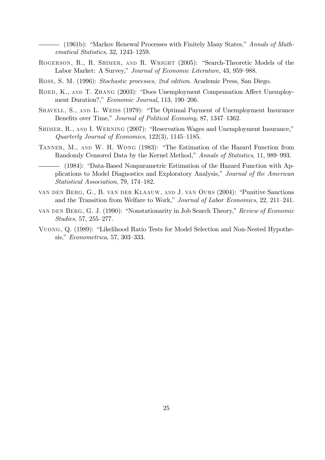— (1961b): "Markov Renewal Processes with Finitely Many States," Annals of Mathematical Statistics, 32, 1243-1259.

- ROGERSON, R., R. SHIMER, AND R. WRIGHT (2005): "Search-Theoretic Models of the Labor Market: A Survey," Journal of Economic Literature, 43, 959-988.
- ROSS, S. M. (1996): Stochastic processes, 2nd edition. Academic Press, San Diego.
- RØED, K., AND T. ZHANG (2003): "Does Unemployment Compensation Affect Unemployment Duration?," Economic Journal, 113, 190-206.
- SHAVELL, S., AND L. WEISS (1979): "The Optimal Payment of Unemployment Insurance Benefits over Time," Journal of Political Economy, 87, 1347–1362.
- SHIMER, R., AND I. WERNING (2007): "Reservation Wages and Unemployment Insurance," Quarterly Journal of Economics, 122(3), 1145–1185.
- TANNER, M., AND W. H. WONG (1983): "The Estimation of the Hazard Function from Randomly Censored Data by the Kernel Method," Annals of Statistics, 11, 989-993.
	- (1984): "Data-Based Nonparametric Estimation of the Hazard Function with Applications to Model Diagnostics and Exploratory Analysis," Journal of the American Statistical Association, 79, 174-182.
- VAN DEN BERG, G., B. VAN DER KLAAUW, AND J. VAN OURS (2004): "Punitive Sanctions and the Transition from Welfare to Work," Journal of Labor Economics, 22, 211-241.
- VAN DEN BERG, G. J. (1990): "Nonstationarity in Job Search Theory," Review of Economic *Studies*, 57, 255–277.
- VUONG, Q. (1989): "Likelihood Ratio Tests for Model Selection and Non-Nested Hypothesis," *Econometrica*, 57, 303–333.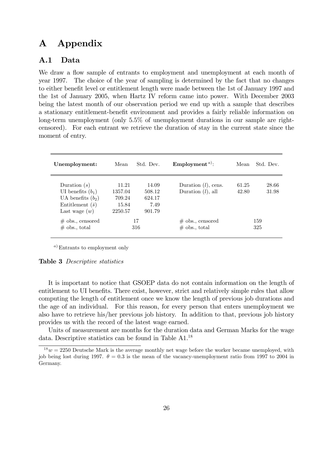# A Appendix

# A.1 Data

We draw a flow sample of entrants to employment and unemployment at each month of year 1997. The choice of the year of sampling is determined by the fact that no changes to either benefit level or entitlement length were made between the 1st of January 1997 and the 1st of January 2005, when Hartz IV reform came into power. With December 2003 being the latest month of our observation period we end up with a sample that describes a stationary entitlement-benefit environment and provides a fairly reliable information on long-term unemployment (only 5.5% of unemployment durations in our sample are rightcensored). For each entrant we retrieve the duration of stay in the current state since the moment of entry.

| Unemployment:           | Mean    | Std. Dev. | Employment <sup><i>a</i>)</sup> : | Mean  | Std. Dev. |
|-------------------------|---------|-----------|-----------------------------------|-------|-----------|
| Duration $(s)$          | 11.21   | 14.09     | Duration $(l)$ , cens.            | 61.25 | 28.66     |
| UI benefits $(b_1)$     | 1357.04 | 508.12    | Duration $(l)$ , all              | 42.80 | 31.98     |
| UA benefits $(b_2)$     | 709.24  | 624.17    |                                   |       |           |
| Entitlement $(\bar{s})$ | 15.84   | 7.49      |                                   |       |           |
| Last wage $(w)$         | 2250.57 | 901.79    |                                   |       |           |
| $\#$ obs., censored     |         | 17        | $\#$ obs., censored               |       | 159       |
| $\#$ obs., total        |         | 316       | $\#$ obs., total                  |       | 325       |

<sup>a</sup>) Entrants to employment only

#### Table 3 Descriptive statistics

It is important to notice that GSOEP data do not contain information on the length of entitlement to UI benefits. There exist, however, strict and relatively simple rules that allow computing the length of entitlement once we know the length of previous job durations and the age of an individual. For this reason, for every person that enters unemployment we also have to retrieve his/her previous job history. In addition to that, previous job history provides us with the record of the latest wage earned.

Units of measurement are months for the duration data and German Marks for the wage data. Descriptive statistics can be found in Table A1.<sup>18</sup>

 $18w = 2250$  Deutsche Mark is the average monthly net wage before the worker became unemployed, with job being lost during 1997.  $\theta = 0.3$  is the mean of the vacancy-unemployment ratio from 1997 to 2004 in Germany.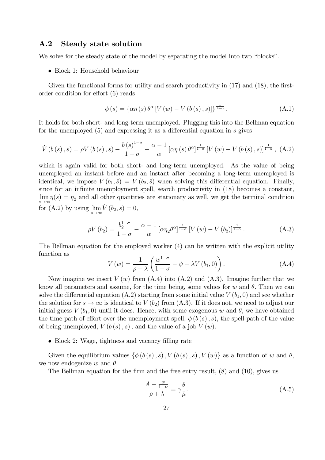### A.2 Steady state solution

We solve for the steady state of the model by separating the model into two "blocks".

• Block 1: Household behaviour

Given the functional forms for utility and search productivity in  $(17)$  and  $(18)$ , the firstorder condition for effort  $(6)$  reads

$$
\phi(s) = {\alpha \eta(s) \theta^{\alpha} [V(w) - V(b(s), s)] }^{\frac{1}{1-\alpha}}.
$$
\n(A.1)

It holds for both short- and long-term unemployed. Plugging this into the Bellman equation for the unemployed  $(5)$  and expressing it as a differential equation in s gives

$$
\dot{V}\left(b\left(s\right),s\right)=\rho V\left(b\left(s\right),s\right)-\frac{b\left(s\right)^{1-\sigma}}{1-\sigma}+\frac{\alpha-1}{\alpha}\left[\alpha\eta\left(s\right)\theta^{\alpha}\right]^{\frac{1}{1-\alpha}}\left[V\left(w\right)-V\left(b\left(s\right),s\right)\right]^{\frac{1}{1-\alpha}},\tag{A.2}
$$

which is again valid for both short- and long-term unemployed. As the value of being unemployed an instant before and an instant after becoming a long-term unemployed is identical, we impose  $V(b_1, \bar{s}) = V(b_2, \bar{s})$  when solving this differential equation. Finally, since for an infinite unemployment spell, search productivity in  $(18)$  becomes a constant,  $\lim_{s \to \infty} \eta(s) = \eta_2$  and all other quantities are stationary as well, we get the terminal condition for (A.2) by using  $\lim_{s \to \infty} \dot{V}(b_2, s) = 0$ ,

$$
\rho V(b_2) = \frac{b_2^{1-\sigma}}{1-\sigma} - \frac{\alpha-1}{\alpha} \left[ \alpha \eta_2 \theta^{\alpha} \right]^{1-\alpha} \left[ V(w) - V(b_2) \right]^{1-\alpha} . \tag{A.3}
$$

The Bellman equation for the employed worker (4) can be written with the explicit utility function as

$$
V(w) = \frac{1}{\rho + \lambda} \left( \frac{w^{1-\sigma}}{1-\sigma} - \psi + \lambda V(b_1, 0) \right). \tag{A.4}
$$

Now imagine we insert  $V(w)$  from  $(A.4)$  into  $(A.2)$  and  $(A.3)$ . Imagine further that we know all parameters and assume, for the time being, some values for w and  $\theta$ . Then we can solve the differential equation (A.2) starting from some initial value  $V(b_1, 0)$  and see whether the solution for  $s \to \infty$  is identical to  $V (b_2)$  from (A.3). If it does not, we need to adjust our initial guess  $V(b_1, 0)$  until it does. Hence, with some exogenous w and  $\theta$ , we have obtained the time path of effort over the unemployment spell,  $\phi(b(s), s)$ , the spell-path of the value of being unemployed,  $V(b(s), s)$ , and the value of a job  $V(w)$ .

• Block 2: Wage, tightness and vacancy filling rate

Given the equilibrium values  $\{\phi(b(s), s), V(b(s), s), V(w)\}\)$  as a function of w and  $\theta$ , we now endogenize w and  $\theta$ .

The Bellman equation for the firm and the free entry result,  $(8)$  and  $(10)$ , gives us

$$
\frac{A - \frac{w}{1 - \varkappa}}{\rho + \lambda} = \gamma \frac{\theta}{\bar{\mu}}.\tag{A.5}
$$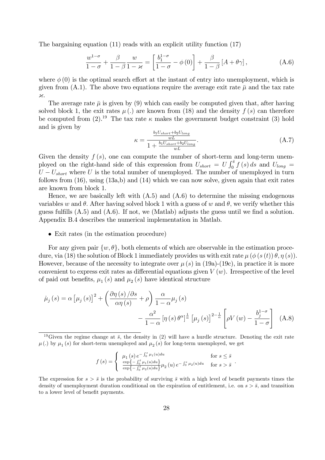The bargaining equation (11) reads with an explicit utility function (17)

$$
\frac{w^{1-\sigma}}{1-\sigma} + \frac{\beta}{1-\beta} \frac{w}{1-\varkappa} = \left[ \frac{b_1^{1-\sigma}}{1-\sigma} - \phi(0) \right] + \frac{\beta}{1-\beta} \left[ A + \theta \gamma \right],\tag{A.6}
$$

where  $\phi(0)$  is the optimal search effort at the instant of entry into unemployment, which is given from  $(A.1)$ . The above two equations require the average exit rate  $\bar{\mu}$  and the tax rate  $\times$ 

The average rate  $\bar{\mu}$  is given by (9) which can easily be computed given that, after having solved block 1, the exit rates  $\mu$  (.) are known from (18) and the density  $f(s)$  can therefore be computed from  $(2).^{19}$  The tax rate  $\kappa$  makes the government budget constraint (3) hold and is given by

$$
\kappa = \frac{\frac{b_1 U_{short} + b_2 U_{long}}{wL}}{1 + \frac{b_1 U_{short} + b_2 U_{long}}{wL}}.\tag{A.7}
$$

Given the density  $f(s)$ , one can compute the number of short-term and long-term unemployed on the right-hand side of this expression from  $U_{short} = U \int_0^{\bar{s}} f(s) ds$  and  $U_{long} =$  $U-U_{short}$  where U is the total number of unemployed. The number of unemployed in turn follows from  $(16)$ , using  $(13a,b)$  and  $(14)$  which we can now solve, given again that exit rates are known from block 1.

Hence, we are basically left with (A.5) and (A.6) to determine the missing endogenous variables w and  $\theta$ . After having solved block 1 with a guess of w and  $\theta$ , we verify whether this guess fulfills  $(A.5)$  and  $(A.6)$ . If not, we (Matlab) adjusts the guess until we find a solution. Appendix B.4 describes the numerical implementation in Matlab.

• Exit rates (in the estimation procedure)

For any given pair  $\{w, \theta\}$ , both elements of which are observable in the estimation procedure, via (18) the solution of Block 1 immediately provides us with exit rate  $\mu(\phi(s(t))\theta, \eta(s))$ . However, because of the necessity to integrate over  $\mu(s)$  in (19a)-(19c), in practice it is more convenient to express exit rates as differential equations given  $V(w)$ . Irrespective of the level of paid out benefits,  $\mu_1(s)$  and  $\mu_2(s)$  have identical structure

$$
\dot{\mu}_{j}(s) = \alpha \left[\mu_{j}(s)\right]^{2} + \left(\frac{\partial \eta(s)/\partial s}{\alpha \eta(s)} + \rho\right) \frac{\alpha}{1-\alpha} \mu_{j}(s)
$$

$$
- \frac{\alpha^{2}}{1-\alpha} \left[\eta(s) \theta^{\alpha}\right]^{\frac{1}{\alpha}} \left[\mu_{j}(s)\right]^{2-\frac{1}{\alpha}} \left[\rho V(w) - \frac{b_{j}^{1-\sigma}}{1-\sigma}\right] \quad (A.8)
$$

$$
f(s) = \begin{cases} \mu_1(s) e^{-\int_0^s \mu_1(u) du} & \text{for } s \le \bar{s} \\ \frac{\exp\{-\int_0^{\bar{s}} \mu_1(u) du\}}{\exp\{-\int_0^{\bar{s}} \mu_2(u) du\}} \mu_2(u) e^{-\int_0^s \mu_2(u) du} & \text{for } s > \bar{s} \end{cases}.
$$

The expression for  $s > \bar{s}$  is the probability of surviving  $\bar{s}$  with a high level of benefit payments times the density of unemployment duration conditional on the expiration of entitlement, i.e. on  $s > \bar{s}$ , and transition to a lower level of benefit payments.

<sup>&</sup>lt;sup>19</sup>Given the regime change at  $\bar{s}$ , the density in (2) will have a hurdle structure. Denoting the exit rate  $\mu$  (.) by  $\mu_1$  (s) for short-term unemployed and  $\mu_2$  (s) for long-term unemployed, we get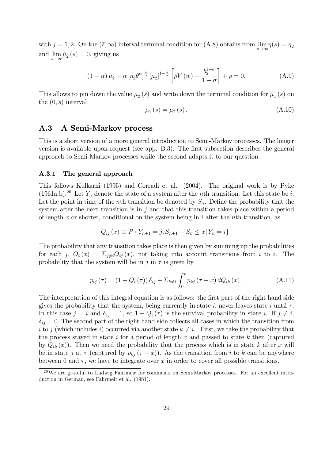with  $j = 1, 2$ . On the  $(\bar{s}, \infty)$  interval terminal condition for  $(A.8)$  obtains from  $\lim_{s \to \infty} \eta(s) = \eta_2$ and  $\lim_{s \to \infty} \mu_2(s) = 0$ , giving us

$$
(1 - \alpha)\mu_2 - \alpha \left[\eta_2 \theta^{\alpha}\right]^{\frac{1}{\alpha}} \left[\mu_2\right]^{1 - \frac{1}{\alpha}} \left[\rho V\left(w\right) - \frac{b_2^{1 - \sigma}}{1 - \sigma}\right] + \rho = 0,\tag{A.9}
$$

This allows to pin down the value  $\mu_2(\bar{s})$  and write down the terminal condition for  $\mu_1(s)$  on the  $(0,\bar{s})$  interval

$$
\mu_1(\bar{s}) = \mu_2(\bar{s}).\tag{A.10}
$$

# A.3 A Semi-Markov process

This is a short version of a more general introduction to Semi-Markov processes. The longer version is available upon request (see app. B.3). The first subsection describes the general approach to Semi-Markov processes while the second adapts it to our question.

#### A.3.1 The general approach

This follows Kulkarni (1995) and Corradi et al. (2004). The original work is by Pyke  $(1961a,b).^{20}$  Let Y<sub>n</sub> denote the state of a system after the *n*th transition. Let this state be *i*. Let the point in time of the nth transition be denoted by  $S_n$ . Define the probability that the system after the next transition is in  $j$  and that this transition takes place within a period of length x or shorter, conditional on the system being in i after the nth transition, as

$$
Q_{ij}(x) \equiv P\{Y_{n+1} = j, S_{n+1} - S_n \leq x | Y_n = i\}.
$$

The probability that any transition takes place is then given by summing up the probabilities for each j,  $Q_i(x) = \sum_{i \neq i} Q_{ij}(x)$ , not taking into account transitions from i to i. The probability that the system will be in j in  $\tau$  is given by

$$
p_{ij}(\tau) = (1 - Q_i(\tau)) \, \delta_{ij} + \Sigma_{k \neq i} \int_0^t p_{kj}(\tau - x) \, dQ_{ik}(x) \,. \tag{A.11}
$$

The interpretation of this integral equation is as follows: the first part of the right hand side gives the probability that the system, being currently in state i, never leaves state i until  $\tau$ . In this case  $j = i$  and  $\delta_{ij} = 1$ , so  $1 - Q_i(\tau)$  is the survival probability in state i. If  $j \neq i$ ,  $\delta_{ij} = 0$ . The second part of the right hand side collects all cases in which the transition from i to j (which includes i) occurred via another state  $k \neq i$ . First, we take the probability that the process stayed in state  $i$  for a period of length  $x$  and passed to state  $k$  then (captured by  $Q_{ik}(x)$ . Then we need the probability that the process which is in state k after x will be in state j at  $\tau$  (captured by  $p_{kj}(\tau-x)$ ). As the transition from i to k can be anywhere between 0 and  $\tau$ , we have to integrate over x in order to cover all possible transitions.

 $20$ We are grateful to Ludwig Fahrmeir for comments on Semi-Markov processes. For an excellent introduction in German, see Fahrmeir et al. (1981).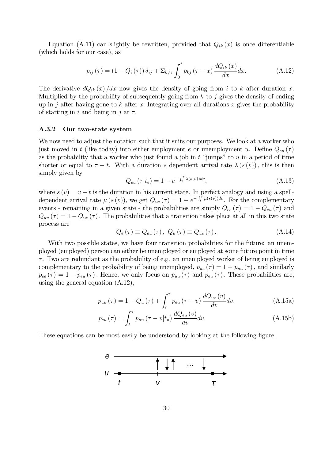Equation (A.11) can slightly be rewritten, provided that  $Q_{ik}(x)$  is once differentiable (which holds for our case), as

$$
p_{ij}(\tau) = (1 - Q_i(\tau)) \delta_{ij} + \sum_{k \neq i} \int_0^t p_{kj}(\tau - x) \frac{dQ_{ik}(x)}{dx} dx.
$$
 (A.12)

The derivative  $dQ_{ik}(x)/dx$  now gives the density of going from i to k after duration x. Multiplied by the probability of subsequently going from  $k$  to  $j$  gives the density of ending up in j after having gone to k after x. Integrating over all durations x gives the probability of starting in i and being in j at  $\tau$ .

### A.3.2 Our two-state system

We now need to adjust the notation such that it suits our purposes. We look at a worker who just moved in t (like today) into either employment e or unemployment u. Define  $Q_{eu}(\tau)$ as the probability that a worker who just found a job in  $t$  "jumps" to  $u$  in a period of time shorter or equal to  $\tau - t$ . With a duration s dependent arrival rate  $\lambda(s(v))$ , this is then simply given by

$$
Q_{eu}\left(\tau|t_e\right) = 1 - e^{-\int_t^\tau \lambda(s(v))dv},\tag{A.13}
$$

where  $s(v) = v - t$  is the duration in his current state. In perfect analogy and using a spelldependent arrival rate  $\mu(s(v))$ , we get  $Q_{ue}(\tau) = 1 - e^{-\int_t^{\tau} \mu(s(v))dv}$ . For the complementary events - remaining in a given state - the probabilities are simply  $Q_{ee}(\tau) = 1 - Q_{eu}(\tau)$  and  $Q_{uu}(\tau) = 1 - Q_{ue}(\tau)$ . The probabilities that a transition takes place at all in this two state process are

$$
Q_e(\tau) \equiv Q_{eu}(\tau), \ Q_u(\tau) \equiv Q_{ue}(\tau). \tag{A.14}
$$

With two possible states, we have four transition probabilities for the future: an unemployed (employed) person can either be unemployed or employed at some future point in time  $\tau$ . Two are redundant as the probability of e.g. an unemployed worker of being employed is complementary to the probability of being unemployed,  $p_{ue}(\tau) = 1 - p_{uu}(\tau)$ , and similarly  $p_{ee}(\tau) = 1 - p_{eu}(\tau)$ . Hence, we only focus on  $p_{uu}(\tau)$  and  $p_{eu}(\tau)$ . These probabilities are, using the general equation (A.12),

$$
p_{uu}(\tau) = 1 - Q_u(\tau) + \int_t^{\tau} p_{eu}(\tau - v) \frac{dQ_{ue}(v)}{dv} dv,
$$
\n(A.15a)

$$
p_{eu}(\tau) = \int_{t}^{\tau} p_{uu}(\tau - v|t_{u}) \frac{dQ_{eu}(v)}{dv} dv.
$$
 (A.15b)

These equations can be most easily be understood by looking at the following figure.